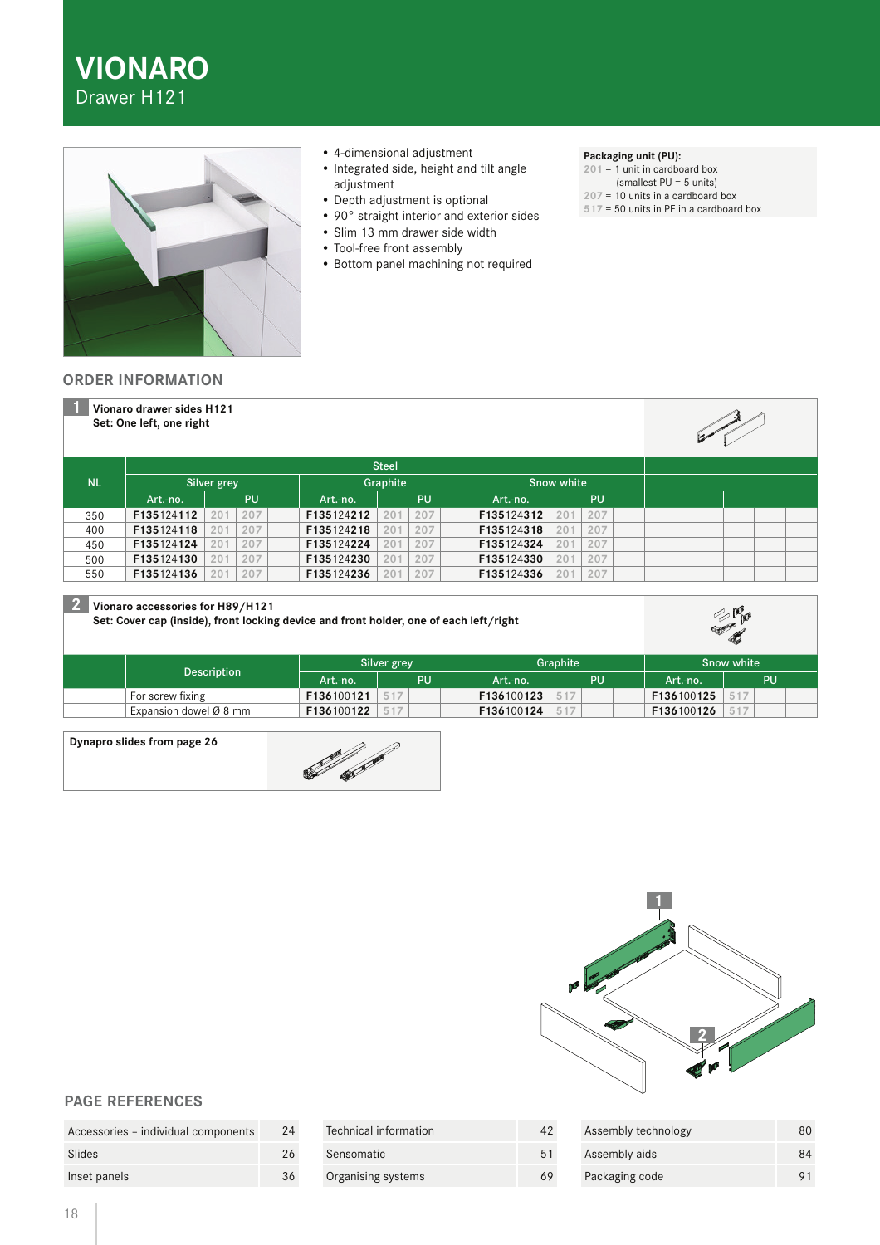



- 4-dimensional adjustment
- Integrated side, height and tilt angle adjustment
- Depth adjustment is optional
- 90° straight interior and exterior sides
- Slim 13 mm drawer side width
- Tool-free front assembly
- Bottom panel machining not required

## **Packaging unit (PU):**

- **201** = 1 unit in cardboard box
- (smallest PU = 5 units)
- **207** = 10 units in a cardboard box
- **517** = 50 units in PE in a cardboard box

## **ORDER INFORMATION**

|           | Vionaro drawer sides H121<br>Set: One left, one right |            |            |              |            |            |  |
|-----------|-------------------------------------------------------|------------|------------|--------------|------------|------------|--|
|           |                                                       |            |            | <b>Steel</b> |            |            |  |
| <b>NL</b> | Silver grey                                           |            | Graphite   |              | Snow white |            |  |
|           | Art.-no.                                              | <b>PU</b>  | Art.-no.   | <b>PU</b>    | Art.-no.   | PU         |  |
| 350       | F135124112                                            | 207<br>201 | F135124212 | 207<br>201   | F135124312 | 207<br>201 |  |
| 400       | F135124118                                            | 207<br>201 | F135124218 | 201<br>207   | F135124318 | 207<br>201 |  |
| 450       | F135124124                                            | 201<br>207 | F135124224 | 207<br>201   | F135124324 | 207<br>201 |  |
| 500       | F135124130                                            | 201<br>207 | F135124230 | 201<br>207   | F135124330 | 207<br>201 |  |
| 550       | F135124136                                            | 201<br>207 | F135124236 | 207<br>201   | F135124336 | 207<br>201 |  |

## **2 Vionaro accessories for H89/H121**

**Set: Cover cap (inside), front locking device and front holder, one of each left/right**



|                        | Silver grey |     | Graphite   |           | Snow white |    |
|------------------------|-------------|-----|------------|-----------|------------|----|
| Description            | Art.-no.    | ipu | Art.-no.   | <b>PH</b> | .Art.-no.  | PU |
| For screw fixing       | F136100121  |     | F136100123 | 517       | F136100125 |    |
| Expansion dowel Ø 8 mm | F136100122  |     | F136100124 | 517       | F136100126 |    |

### **Dynapro slides from page 26**





# **PAGE REFERENCES**

| Accessories - individual components | 24 |
|-------------------------------------|----|
| Slides                              | 26 |
| Inset panels                        | 36 |

| Technical information | 42 | Assembly technology | 80 |
|-----------------------|----|---------------------|----|
| Sensomatic            | 51 | Assembly aids       | 84 |
| Organising systems    | 69 | Packaging code      |    |